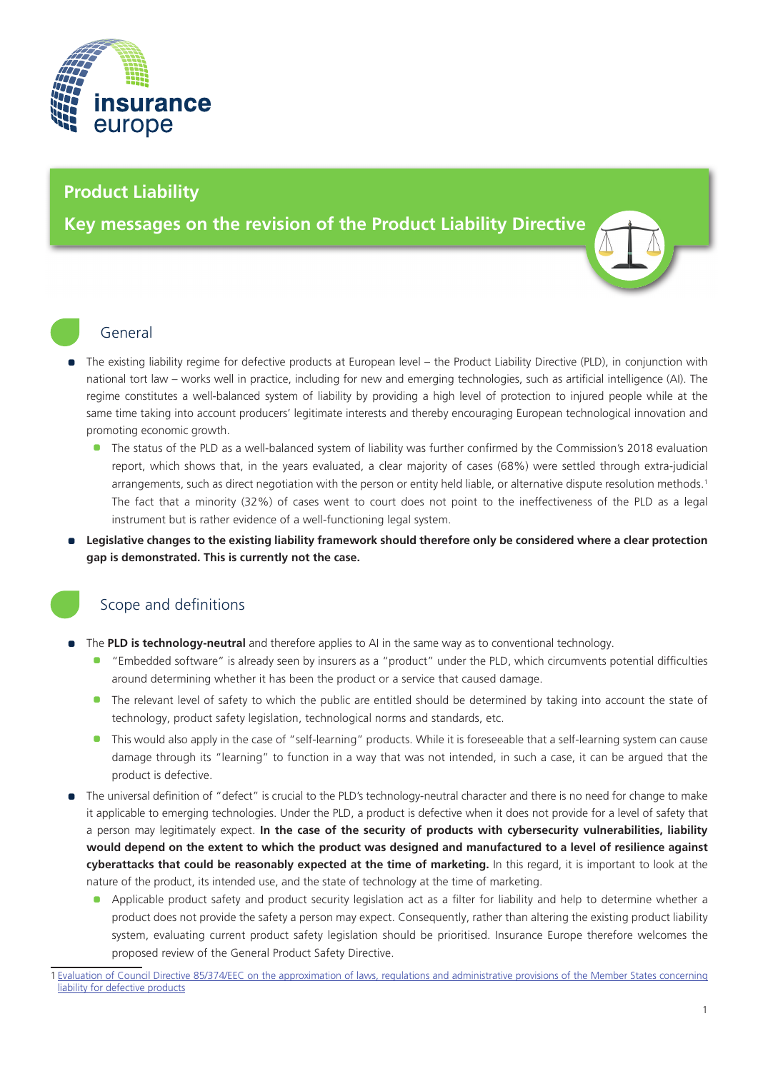

# **Product Liability**

**Key messages on the revision of the Product Liability Directive**

### General

- The existing liability regime for defective products at European level the Product Liability Directive (PLD), in conjunction with national tort law – works well in practice, including for new and emerging technologies, such as artificial intelligence (AI). The regime constitutes a well-balanced system of liability by providing a high level of protection to injured people while at the same time taking into account producers' legitimate interests and thereby encouraging European technological innovation and promoting economic growth.
	- The status of the PLD as a well-balanced system of liability was further confirmed by the Commission's 2018 evaluation report, which shows that, in the years evaluated, a clear majority of cases (68%) were settled through extra-judicial arrangements, such as direct negotiation with the person or entity held liable, or alternative dispute resolution methods.<sup>1</sup> The fact that a minority (32%) of cases went to court does not point to the ineffectiveness of the PLD as a legal instrument but is rather evidence of a well-functioning legal system.
- • **Legislative changes to the existing liability framework should therefore only be considered where a clear protection gap is demonstrated. This is currently not the case.**

# Scope and definitions

- The **PLD is technology-neutral** and therefore applies to AI in the same way as to conventional technology.
	- "Embedded software" is already seen by insurers as a "product" under the PLD, which circumvents potential difficulties around determining whether it has been the product or a service that caused damage.
	- The relevant level of safety to which the public are entitled should be determined by taking into account the state of technology, product safety legislation, technological norms and standards, etc.
	- This would also apply in the case of "self-learning" products. While it is foreseeable that a self-learning system can cause damage through its "learning" to function in a way that was not intended, in such a case, it can be argued that the product is defective.
- The universal definition of "defect" is crucial to the PLD's technology-neutral character and there is no need for change to make it applicable to emerging technologies. Under the PLD, a product is defective when it does not provide for a level of safety that a person may legitimately expect. **In the case of the security of products with cybersecurity vulnerabilities, liability would depend on the extent to which the product was designed and manufactured to a level of resilience against cyberattacks that could be reasonably expected at the time of marketing.** In this regard, it is important to look at the nature of the product, its intended use, and the state of technology at the time of marketing.
	- Applicable product safety and product security legislation act as a filter for liability and help to determine whether a product does not provide the safety a person may expect. Consequently, rather than altering the existing product liability system, evaluating current product safety legislation should be prioritised. Insurance Europe therefore welcomes the proposed review of the General Product Safety Directive.

<sup>1</sup> Evaluation of Council Directive 85/374/EEC on the approximation of laws, regulations and administrative provisions of the Member States concerning liability for defective products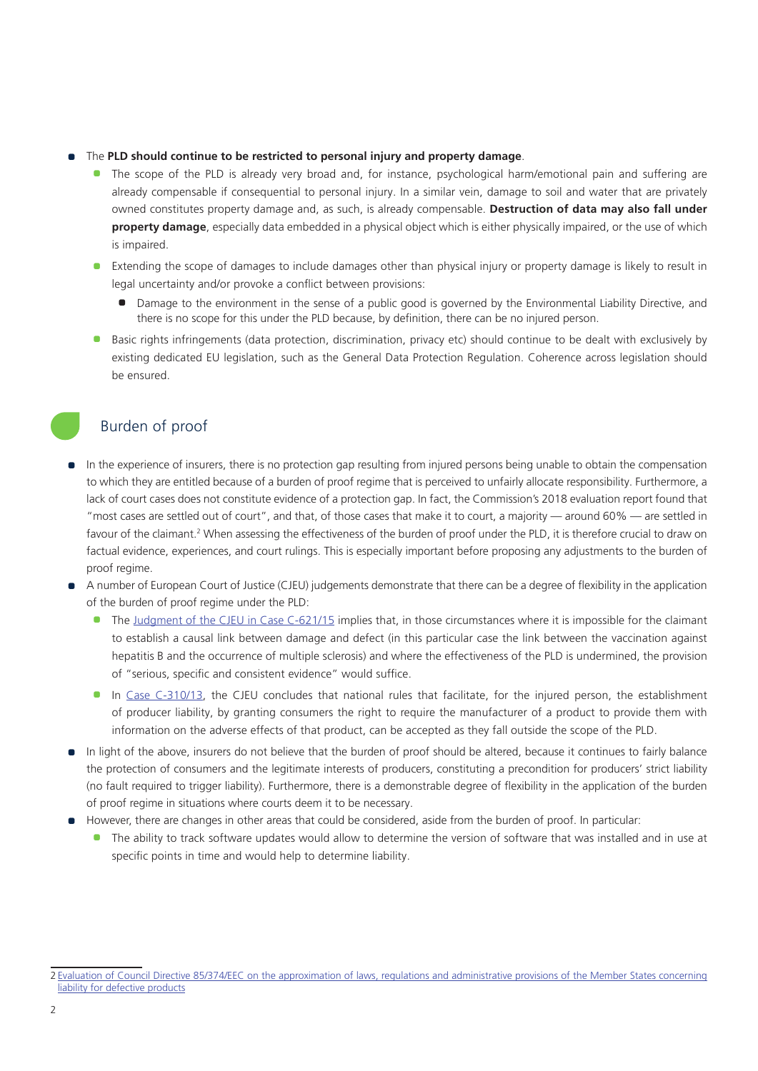#### • The **PLD should continue to be restricted to personal injury and property damage**.

- The scope of the PLD is already very broad and, for instance, psychological harm/emotional pain and suffering are already compensable if consequential to personal injury. In a similar vein, damage to soil and water that are privately owned constitutes property damage and, as such, is already compensable. **Destruction of data may also fall under property damage**, especially data embedded in a physical object which is either physically impaired, or the use of which is impaired.
- Extending the scope of damages to include damages other than physical injury or property damage is likely to result in legal uncertainty and/or provoke a conflict between provisions:
	- Damage to the environment in the sense of a public good is governed by the Environmental Liability Directive, and there is no scope for this under the PLD because, by definition, there can be no injured person.
- Basic rights infringements (data protection, discrimination, privacy etc) should continue to be dealt with exclusively by existing dedicated EU legislation, such as the General Data Protection Regulation. Coherence across legislation should be ensured.

# Burden of proof

- In the experience of insurers, there is no protection gap resulting from injured persons being unable to obtain the compensation to which they are entitled because of a burden of proof regime that is perceived to unfairly allocate responsibility. Furthermore, a lack of court cases does not constitute evidence of a protection gap. In fact, the Commission's 2018 evaluation report found that "most cases are settled out of court", and that, of those cases that make it to court, a majority — around 60% — are settled in favour of the claimant.<sup>2</sup> When assessing the effectiveness of the burden of proof under the PLD, it is therefore crucial to draw on factual evidence, experiences, and court rulings. This is especially important before proposing any adjustments to the burden of proof regime.
- A number of European Court of Justice (CJEU) judgements demonstrate that there can be a degree of flexibility in the application of the burden of proof regime under the PLD:
	- The [Judgment of the CJEU in Case C-621/15](https://curia.europa.eu/jcms/upload/docs/application/pdf/2017-06/cp170066en.pdf) implies that, in those circumstances where it is impossible for the claimant to establish a causal link between damage and defect (in this particular case the link between the vaccination against hepatitis B and the occurrence of multiple sclerosis) and where the effectiveness of the PLD is undermined, the provision of "serious, specific and consistent evidence" would suffice.
	- **•** In [Case C-310/13,](https://curia.europa.eu/juris/document/document.jsf;jsessionid=CE5F7770B39FF0760838352E4BB77616?text=&docid=159824&pageIndex=0&doclang=en&mode=lst&dir=&occ=first&part=1&cid=2646813) the CJEU concludes that national rules that facilitate, for the injured person, the establishment of producer liability, by granting consumers the right to require the manufacturer of a product to provide them with information on the adverse effects of that product, can be accepted as they fall outside the scope of the PLD.
- In light of the above, insurers do not believe that the burden of proof should be altered, because it continues to fairly balance the protection of consumers and the legitimate interests of producers, constituting a precondition for producers' strict liability (no fault required to trigger liability). Furthermore, there is a demonstrable degree of flexibility in the application of the burden of proof regime in situations where courts deem it to be necessary.
- However, there are changes in other areas that could be considered, aside from the burden of proof. In particular:
	- **•** The ability to track software updates would allow to determine the version of software that was installed and in use at specific points in time and would help to determine liability.

<sup>2</sup> Evaluation of Council Directive 85/374/EEC on the approximation of laws, regulations and administrative provisions of the Member States concerning liability for defective products